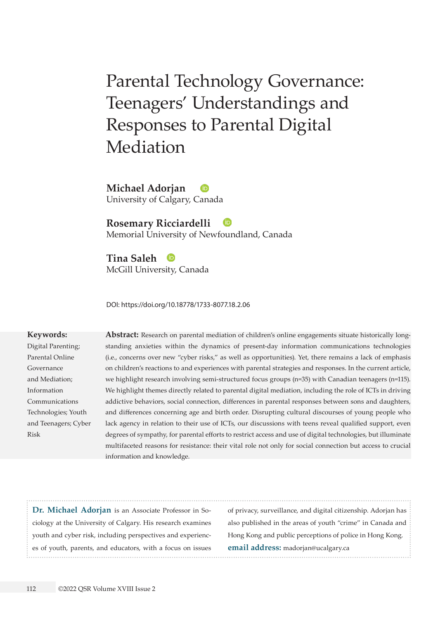# Parental Technology Governance: Teenagers' Understandings and Responses to Parental Digital Mediation

**Michael Adorjan** University of Calgary, Canada

## **Rosemary Ricciardelli**

Memorial University of Newfoundland, Canada

**Tina Saleh**  McGill University, Canada

DOI: <https://doi.org/10.18778/1733-8077.18.2.06>

#### **Keywords:**

Digital Parenting; Parental Online Governance and Mediation; Information Communications Technologies; Youth and Teenagers; Cyber Risk

**Abstract:** Research on parental mediation of children's online engagements situate historically longstanding anxieties within the dynamics of present-day information communications technologies (i.e., concerns over new "cyber risks," as well as opportunities). Yet, there remains a lack of emphasis on children's reactions to and experiences with parental strategies and responses. In the current article, we highlight research involving semi-structured focus groups (n=35) with Canadian teenagers (n=115). We highlight themes directly related to parental digital mediation, including the role of ICTs in driving addictive behaviors, social connection, differences in parental responses between sons and daughters, and differences concerning age and birth order. Disrupting cultural discourses of young people who lack agency in relation to their use of ICTs, our discussions with teens reveal qualified support, even degrees of sympathy, for parental efforts to restrict access and use of digital technologies, but illuminate multifaceted reasons for resistance: their vital role not only for social connection but access to crucial information and knowledge.

**Dr. Michael Adorjan** is an Associate Professor in Sociology at the University of Calgary. His research examines youth and cyber risk, including perspectives and experiences of youth, parents, and educators, with a focus on issues of privacy, surveillance, and digital citizenship. Adorjan has also published in the areas of youth "crime" in Canada and Hong Kong and public perceptions of police in Hong Kong. **email address:** [madorjan@ucalgary.ca](mailto:madorjan@ucalgary.ca)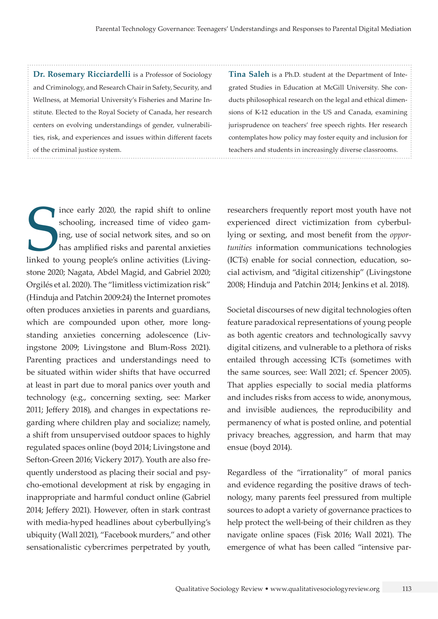**Dr. Rosemary Ricciardelli** is a Professor of Sociology and Criminology, and Research Chair in Safety, Security, and Wellness, at Memorial University's Fisheries and Marine Institute. Elected to the Royal Society of Canada, her research centers on evolving understandings of gender, vulnerabilities, risk, and experiences and issues within different facets of the criminal justice system.

**Tina Saleh** is a Ph.D. student at the Department of Integrated Studies in Education at McGill University. She conducts philosophical research on the legal and ethical dimensions of K-12 education in the US and Canada, examining jurisprudence on teachers' free speech rights. Her research contemplates how policy may foster equity and inclusion for teachers and students in increasingly diverse classrooms.

schooling, increased time of video gaming, use of social network sites, and so on has amplified risks and parental anxieties linked to young people's online activities (Livingince early 2020, the rapid shift to online schooling, increased time of video gaming, use of social network sites, and so on has amplified risks and parental anxieties stone 2020; Nagata, Abdel Magid, and Gabriel 2020; Orgilés et al. 2020). The "limitless victimization risk" (Hinduja and Patchin 2009:24) the Internet promotes often produces anxieties in parents and guardians, which are compounded upon other, more longstanding anxieties concerning adolescence (Livingstone 2009; Livingstone and Blum-Ross 2021). Parenting practices and understandings need to be situated within wider shifts that have occurred at least in part due to moral panics over youth and technology (e.g., concerning sexting, see: Marker 2011; Jeffery 2018), and changes in expectations regarding where children play and socialize; namely, a shift from unsupervised outdoor spaces to highly regulated spaces online (boyd 2014; Livingstone and Sefton-Green 2016; Vickery 2017). Youth are also frequently understood as placing their social and psycho-emotional development at risk by engaging in inappropriate and harmful conduct online (Gabriel 2014; Jeffery 2021). However, often in stark contrast with media-hyped headlines about cyberbullying's ubiquity (Wall 2021), "Facebook murders," and other sensationalistic cybercrimes perpetrated by youth,

researchers frequently report most youth have not experienced direct victimization from cyberbullying or sexting, and most benefit from the *opportunities* information communications technologies (ICTs) enable for social connection, education, social activism, and "digital citizenship" (Livingstone 2008; Hinduja and Patchin 2014; Jenkins et al. 2018).

Societal discourses of new digital technologies often feature paradoxical representations of young people as both agentic creators and technologically savvy digital citizens, and vulnerable to a plethora of risks entailed through accessing ICTs (sometimes with the same sources, see: Wall 2021; cf. Spencer 2005). That applies especially to social media platforms and includes risks from access to wide, anonymous, and invisible audiences, the reproducibility and permanency of what is posted online, and potential privacy breaches, aggression, and harm that may ensue (boyd 2014).

Regardless of the "irrationality" of moral panics and evidence regarding the positive draws of technology, many parents feel pressured from multiple sources to adopt a variety of governance practices to help protect the well-being of their children as they navigate online spaces (Fisk 2016; Wall 2021). The emergence of what has been called "intensive par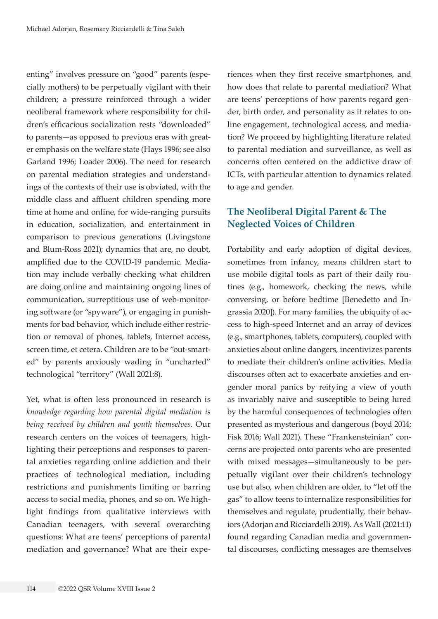enting" involves pressure on "good" parents (especially mothers) to be perpetually vigilant with their children; a pressure reinforced through a wider neoliberal framework where responsibility for children's efficacious socialization rests "downloaded" to parents—as opposed to previous eras with greater emphasis on the welfare state (Hays 1996; see also Garland 1996; Loader 2006). The need for research on parental mediation strategies and understandings of the contexts of their use is obviated, with the middle class and affluent children spending more time at home and online, for wide-ranging pursuits in education, socialization, and entertainment in comparison to previous generations (Livingstone and Blum-Ross 2021); dynamics that are, no doubt, amplified due to the COVID-19 pandemic. Mediation may include verbally checking what children are doing online and maintaining ongoing lines of communication, surreptitious use of web-monitoring software (or "spyware"), or engaging in punishments for bad behavior, which include either restriction or removal of phones, tablets, Internet access, screen time, et cetera. Children are to be "out-smarted" by parents anxiously wading in "uncharted" technological "territory" (Wall 2021:8).

Yet, what is often less pronounced in research is *knowledge regarding how parental digital mediation is being received by children and youth themselves*. Our research centers on the voices of teenagers, highlighting their perceptions and responses to parental anxieties regarding online addiction and their practices of technological mediation, including restrictions and punishments limiting or barring access to social media, phones, and so on. We highlight findings from qualitative interviews with Canadian teenagers, with several overarching questions: What are teens' perceptions of parental mediation and governance? What are their experiences when they first receive smartphones, and how does that relate to parental mediation? What are teens' perceptions of how parents regard gender, birth order, and personality as it relates to online engagement, technological access, and mediation? We proceed by highlighting literature related to parental mediation and surveillance, as well as concerns often centered on the addictive draw of ICTs, with particular attention to dynamics related to age and gender.

## **The Neoliberal Digital Parent & The Neglected Voices of Children**

Portability and early adoption of digital devices, sometimes from infancy, means children start to use mobile digital tools as part of their daily routines (e.g., homework, checking the news, while conversing, or before bedtime [Benedetto and Ingrassia 2020]). For many families, the ubiquity of access to high-speed Internet and an array of devices (e.g., smartphones, tablets, computers), coupled with anxieties about online dangers, incentivizes parents to mediate their children's online activities. Media discourses often act to exacerbate anxieties and engender moral panics by reifying a view of youth as invariably naive and susceptible to being lured by the harmful consequences of technologies often presented as mysterious and dangerous (boyd 2014; Fisk 2016; Wall 2021). These "Frankensteinian" concerns are projected onto parents who are presented with mixed messages—simultaneously to be perpetually vigilant over their children's technology use but also, when children are older, to "let off the gas" to allow teens to internalize responsibilities for themselves and regulate, prudentially, their behaviors (Adorjan and Ricciardelli 2019). As Wall (2021:11) found regarding Canadian media and governmental discourses, conflicting messages are themselves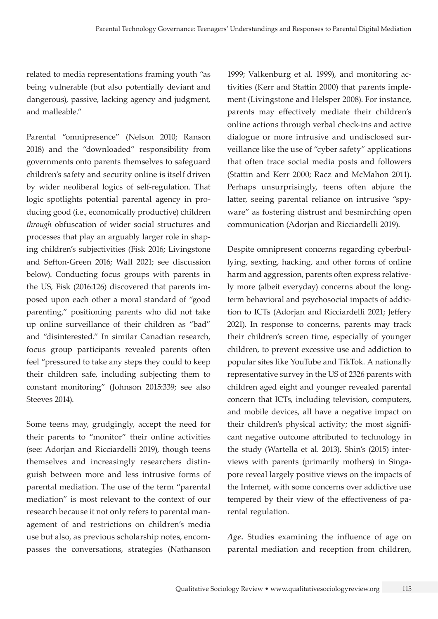related to media representations framing youth "as being vulnerable (but also potentially deviant and dangerous), passive, lacking agency and judgment, and malleable."

Parental "omnipresence" (Nelson 2010; Ranson 2018) and the "downloaded" responsibility from governments onto parents themselves to safeguard children's safety and security online is itself driven by wider neoliberal logics of self-regulation. That logic spotlights potential parental agency in producing good (i.e., economically productive) children *through* obfuscation of wider social structures and processes that play an arguably larger role in shaping children's subjectivities (Fisk 2016; Livingstone and Sefton-Green 2016; Wall 2021; see discussion below). Conducting focus groups with parents in the US, Fisk (2016:126) discovered that parents imposed upon each other a moral standard of "good parenting," positioning parents who did not take up online surveillance of their children as "bad" and "disinterested." In similar Canadian research, focus group participants revealed parents often feel "pressured to take any steps they could to keep their children safe, including subjecting them to constant monitoring" (Johnson 2015:339; see also Steeves 2014).

Some teens may, grudgingly, accept the need for their parents to "monitor" their online activities (see: Adorjan and Ricciardelli 2019), though teens themselves and increasingly researchers distinguish between more and less intrusive forms of parental mediation. The use of the term "parental mediation" is most relevant to the context of our research because it not only refers to parental management of and restrictions on children's media use but also, as previous scholarship notes, encompasses the conversations, strategies (Nathanson

1999; Valkenburg et al. 1999), and monitoring activities (Kerr and Stattin 2000) that parents implement (Livingstone and Helsper 2008). For instance, parents may effectively mediate their children's online actions through verbal check-ins and active dialogue or more intrusive and undisclosed surveillance like the use of "cyber safety" applications that often trace social media posts and followers (Stattin and Kerr 2000; Racz and McMahon 2011). Perhaps unsurprisingly, teens often abjure the latter, seeing parental reliance on intrusive "spyware" as fostering distrust and besmirching open communication (Adorjan and Ricciardelli 2019).

Despite omnipresent concerns regarding cyberbullying, sexting, hacking, and other forms of online harm and aggression, parents often express relatively more (albeit everyday) concerns about the longterm behavioral and psychosocial impacts of addiction to ICTs (Adorjan and Ricciardelli 2021; Jeffery 2021). In response to concerns, parents may track their children's screen time, especially of younger children, to prevent excessive use and addiction to popular sites like YouTube and TikTok. A nationally representative survey in the US of 2326 parents with children aged eight and younger revealed parental concern that ICTs, including television, computers, and mobile devices, all have a negative impact on their children's physical activity; the most significant negative outcome attributed to technology in the study (Wartella et al. 2013). Shin's (2015) interviews with parents (primarily mothers) in Singapore reveal largely positive views on the impacts of the Internet, with some concerns over addictive use tempered by their view of the effectiveness of parental regulation.

*Age.* Studies examining the influence of age on parental mediation and reception from children,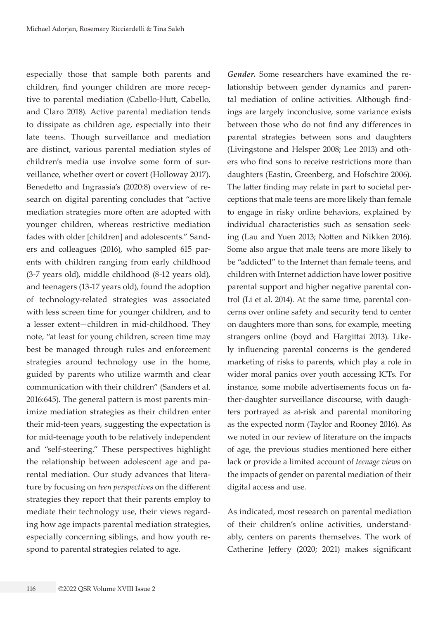especially those that sample both parents and children, find younger children are more receptive to parental mediation (Cabello-Hutt, Cabello, and Claro 2018). Active parental mediation tends to dissipate as children age, especially into their late teens. Though surveillance and mediation are distinct, various parental mediation styles of children's media use involve some form of surveillance, whether overt or covert (Holloway 2017). Benedetto and Ingrassia's (2020:8) overview of research on digital parenting concludes that "active mediation strategies more often are adopted with younger children, whereas restrictive mediation fades with older [children] and adolescents." Sanders and colleagues (2016), who sampled 615 parents with children ranging from early childhood (3-7 years old), middle childhood (8-12 years old), and teenagers (13-17 years old), found the adoption of technology-related strategies was associated with less screen time for younger children, and to a lesser extent—children in mid-childhood. They note, "at least for young children, screen time may best be managed through rules and enforcement strategies around technology use in the home, guided by parents who utilize warmth and clear communication with their children" (Sanders et al. 2016:645). The general pattern is most parents minimize mediation strategies as their children enter their mid-teen years, suggesting the expectation is for mid-teenage youth to be relatively independent and "self-steering." These perspectives highlight the relationship between adolescent age and parental mediation. Our study advances that literature by focusing on *teen perspectives* on the different strategies they report that their parents employ to mediate their technology use, their views regarding how age impacts parental mediation strategies, especially concerning siblings, and how youth respond to parental strategies related to age.

*Gender.* Some researchers have examined the relationship between gender dynamics and parental mediation of online activities. Although findings are largely inconclusive, some variance exists between those who do not find any differences in parental strategies between sons and daughters (Livingstone and Helsper 2008; Lee 2013) and others who find sons to receive restrictions more than daughters (Eastin, Greenberg, and Hofschire 2006). The latter finding may relate in part to societal perceptions that male teens are more likely than female to engage in risky online behaviors, explained by individual characteristics such as sensation seeking (Lau and Yuen 2013; Notten and Nikken 2016). Some also argue that male teens are more likely to be "addicted" to the Internet than female teens, and children with Internet addiction have lower positive parental support and higher negative parental control (Li et al. 2014). At the same time, parental concerns over online safety and security tend to center on daughters more than sons, for example, meeting strangers online (boyd and Hargittai 2013). Likely influencing parental concerns is the gendered marketing of risks to parents, which play a role in wider moral panics over youth accessing ICTs. For instance, some mobile advertisements focus on father-daughter surveillance discourse, with daughters portrayed as at-risk and parental monitoring as the expected norm (Taylor and Rooney 2016). As we noted in our review of literature on the impacts of age, the previous studies mentioned here either lack or provide a limited account of *teenage views* on the impacts of gender on parental mediation of their digital access and use.

As indicated, most research on parental mediation of their children's online activities, understandably, centers on parents themselves. The work of Catherine Jeffery (2020; 2021) makes significant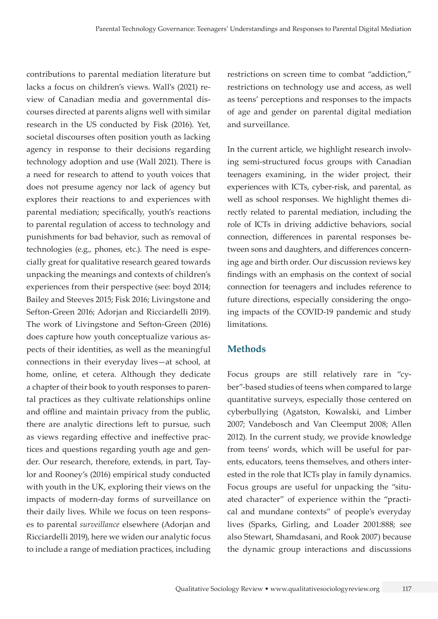contributions to parental mediation literature but lacks a focus on children's views. Wall's (2021) review of Canadian media and governmental discourses directed at parents aligns well with similar research in the US conducted by Fisk (2016). Yet, societal discourses often position youth as lacking agency in response to their decisions regarding technology adoption and use (Wall 2021). There is a need for research to attend to youth voices that does not presume agency nor lack of agency but explores their reactions to and experiences with parental mediation; specifically, youth's reactions to parental regulation of access to technology and punishments for bad behavior, such as removal of technologies (e.g., phones, etc.). The need is especially great for qualitative research geared towards unpacking the meanings and contexts of children's experiences from their perspective (see: boyd 2014; Bailey and Steeves 2015; Fisk 2016; Livingstone and Sefton-Green 2016; Adorjan and Ricciardelli 2019). The work of Livingstone and Sefton-Green (2016) does capture how youth conceptualize various aspects of their identities, as well as the meaningful connections in their everyday lives—at school, at home, online, et cetera. Although they dedicate a chapter of their book to youth responses to parental practices as they cultivate relationships online and offline and maintain privacy from the public, there are analytic directions left to pursue, such as views regarding effective and ineffective practices and questions regarding youth age and gender. Our research, therefore, extends, in part, Taylor and Rooney's (2016) empirical study conducted with youth in the UK, exploring their views on the impacts of modern-day forms of surveillance on their daily lives. While we focus on teen responses to parental *surveillance* elsewhere (Adorjan and Ricciardelli 2019), here we widen our analytic focus to include a range of mediation practices, including restrictions on screen time to combat "addiction," restrictions on technology use and access, as well as teens' perceptions and responses to the impacts of age and gender on parental digital mediation and surveillance.

In the current article, we highlight research involving semi-structured focus groups with Canadian teenagers examining, in the wider project, their experiences with ICTs, cyber-risk, and parental, as well as school responses. We highlight themes directly related to parental mediation, including the role of ICTs in driving addictive behaviors, social connection, differences in parental responses between sons and daughters, and differences concerning age and birth order. Our discussion reviews key findings with an emphasis on the context of social connection for teenagers and includes reference to future directions, especially considering the ongoing impacts of the COVID-19 pandemic and study limitations.

### **Methods**

Focus groups are still relatively rare in "cyber"-based studies of teens when compared to large quantitative surveys, especially those centered on cyberbullying (Agatston, Kowalski, and Limber 2007; Vandebosch and Van Cleemput 2008; Allen 2012). In the current study, we provide knowledge from teens' words, which will be useful for parents, educators, teens themselves, and others interested in the role that ICTs play in family dynamics. Focus groups are useful for unpacking the "situated character" of experience within the "practical and mundane contexts" of people's everyday lives (Sparks, Girling, and Loader 2001:888; see also Stewart, Shamdasani, and Rook 2007) because the dynamic group interactions and discussions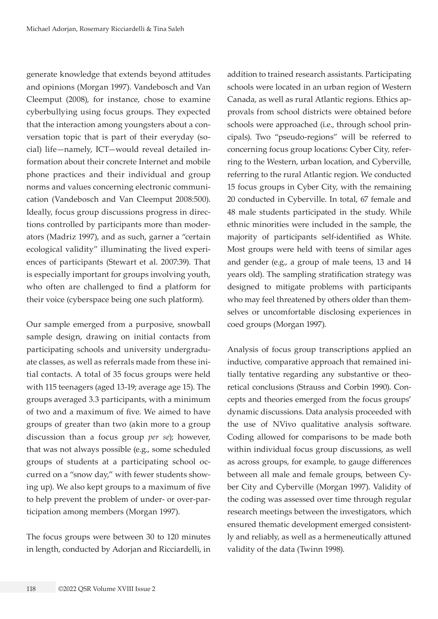generate knowledge that extends beyond attitudes and opinions (Morgan 1997). Vandebosch and Van Cleemput (2008), for instance, chose to examine cyberbullying using focus groups. They expected that the interaction among youngsters about a conversation topic that is part of their everyday (social) life—namely, ICT—would reveal detailed information about their concrete Internet and mobile phone practices and their individual and group norms and values concerning electronic communication (Vandebosch and Van Cleemput 2008:500). Ideally, focus group discussions progress in directions controlled by participants more than moderators (Madriz 1997), and as such, garner a "certain ecological validity" illuminating the lived experiences of participants (Stewart et al. 2007:39). That is especially important for groups involving youth, who often are challenged to find a platform for their voice (cyberspace being one such platform).

Our sample emerged from a purposive, snowball sample design, drawing on initial contacts from participating schools and university undergraduate classes, as well as referrals made from these initial contacts. A total of 35 focus groups were held with 115 teenagers (aged 13-19; average age 15). The groups averaged 3.3 participants, with a minimum of two and a maximum of five. We aimed to have groups of greater than two (akin more to a group discussion than a focus group *per se*); however, that was not always possible (e.g., some scheduled groups of students at a participating school occurred on a "snow day," with fewer students showing up). We also kept groups to a maximum of five to help prevent the problem of under- or over-participation among members (Morgan 1997).

The focus groups were between 30 to 120 minutes in length, conducted by Adorjan and Ricciardelli, in

addition to trained research assistants. Participating schools were located in an urban region of Western Canada, as well as rural Atlantic regions. Ethics approvals from school districts were obtained before schools were approached (i.e., through school principals). Two "pseudo-regions" will be referred to concerning focus group locations: Cyber City, referring to the Western, urban location, and Cyberville, referring to the rural Atlantic region. We conducted 15 focus groups in Cyber City, with the remaining 20 conducted in Cyberville. In total, 67 female and 48 male students participated in the study. While ethnic minorities were included in the sample, the majority of participants self-identified as White. Most groups were held with teens of similar ages and gender (e.g., a group of male teens, 13 and 14 years old). The sampling stratification strategy was designed to mitigate problems with participants who may feel threatened by others older than themselves or uncomfortable disclosing experiences in coed groups (Morgan 1997).

Analysis of focus group transcriptions applied an inductive, comparative approach that remained initially tentative regarding any substantive or theoretical conclusions (Strauss and Corbin 1990). Concepts and theories emerged from the focus groups' dynamic discussions. Data analysis proceeded with the use of NVivo qualitative analysis software. Coding allowed for comparisons to be made both within individual focus group discussions, as well as across groups, for example, to gauge differences between all male and female groups, between Cyber City and Cyberville (Morgan 1997). Validity of the coding was assessed over time through regular research meetings between the investigators, which ensured thematic development emerged consistently and reliably, as well as a hermeneutically attuned validity of the data (Twinn 1998).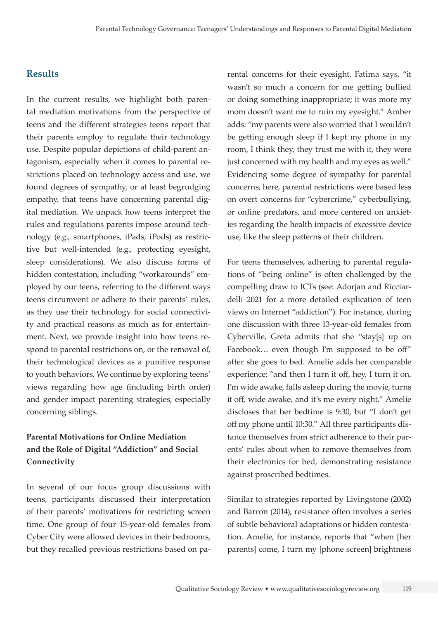#### **Results**

In the current results, we highlight both parental mediation motivations from the perspective of teens and the different strategies teens report that their parents employ to regulate their technology use. Despite popular depictions of child-parent antagonism, especially when it comes to parental restrictions placed on technology access and use, we found degrees of sympathy, or at least begrudging empathy, that teens have concerning parental digital mediation. We unpack how teens interpret the rules and regulations parents impose around technology (e.g., smartphones, iPads, iPods) as restrictive but well-intended (e.g., protecting eyesight, sleep considerations). We also discuss forms of hidden contestation, including "workarounds" employed by our teens, referring to the different ways teens circumvent or adhere to their parents' rules, as they use their technology for social connectivity and practical reasons as much as for entertainment. Next, we provide insight into how teens respond to parental restrictions on, or the removal of, their technological devices as a punitive response to youth behaviors. We continue by exploring teens' views regarding how age (including birth order) and gender impact parenting strategies, especially concerning siblings.

## **Parental Motivations for Online Mediation and the Role of Digital "Addiction" and Social Connectivity**

In several of our focus group discussions with teens, participants discussed their interpretation of their parents' motivations for restricting screen time. One group of four 15-year-old females from Cyber City were allowed devices in their bedrooms, but they recalled previous restrictions based on parental concerns for their eyesight. Fatima says, "it wasn't so much a concern for me getting bullied or doing something inappropriate; it was more my mom doesn't want me to ruin my eyesight." Amber adds: "my parents were also worried that I wouldn't be getting enough sleep if I kept my phone in my room, I think they, they trust me with it, they were just concerned with my health and my eyes as well." Evidencing some degree of sympathy for parental concerns, here, parental restrictions were based less on overt concerns for "cybercrime," cyberbullying, or online predators, and more centered on anxieties regarding the health impacts of excessive device use, like the sleep patterns of their children.

For teens themselves, adhering to parental regulations of "being online" is often challenged by the compelling draw to ICTs (see: Adorjan and Ricciardelli 2021 for a more detailed explication of teen views on Internet "addiction"). For instance, during one discussion with three 13-year-old females from Cyberville, Greta admits that she "stay[s] up on Facebook… even though I'm supposed to be off" after she goes to bed. Amelie adds her comparable experience: "and then I turn it off, hey, I turn it on, I'm wide awake, falls asleep during the movie, turns it off, wide awake, and it's me every night." Amelie discloses that her bedtime is 9:30, but "I don't get off my phone until 10:30." All three participants distance themselves from strict adherence to their parents' rules about when to remove themselves from their electronics for bed, demonstrating resistance against proscribed bedtimes.

Similar to strategies reported by Livingstone (2002) and Barron (2014), resistance often involves a series of subtle behavioral adaptations or hidden contestation. Amelie, for instance, reports that "when [her parents] come, I turn my [phone screen] brightness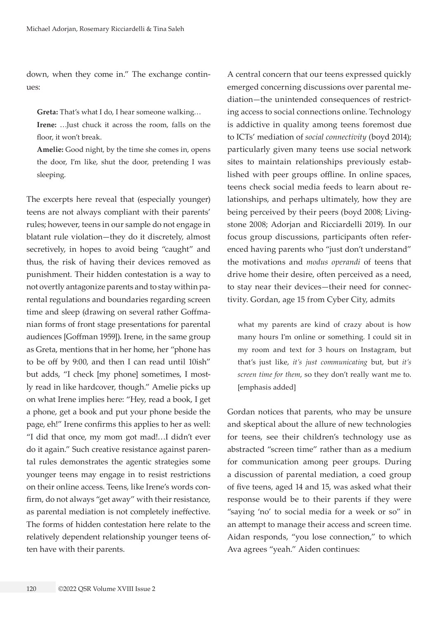down, when they come in." The exchange continues:

**Greta:** That's what I do, I hear someone walking…

**Irene:** …Just chuck it across the room, falls on the floor, it won't break.

**Amelie:** Good night, by the time she comes in, opens the door, I'm like, shut the door, pretending I was sleeping.

The excerpts here reveal that (especially younger) teens are not always compliant with their parents' rules; however, teens in our sample do not engage in blatant rule violation—they do it discretely, almost secretively, in hopes to avoid being "caught" and thus, the risk of having their devices removed as punishment. Their hidden contestation is a way to not overtly antagonize parents and to stay within parental regulations and boundaries regarding screen time and sleep (drawing on several rather Goffmanian forms of front stage presentations for parental audiences [Goffman 1959]). Irene, in the same group as Greta, mentions that in her home, her "phone has to be off by 9:00, and then I can read until 10ish" but adds, "I check [my phone] sometimes, I mostly read in like hardcover, though." Amelie picks up on what Irene implies here: "Hey, read a book, I get a phone, get a book and put your phone beside the page, eh!" Irene confirms this applies to her as well: "I did that once, my mom got mad!…I didn't ever do it again." Such creative resistance against parental rules demonstrates the agentic strategies some younger teens may engage in to resist restrictions on their online access. Teens, like Irene's words confirm, do not always "get away" with their resistance, as parental mediation is not completely ineffective. The forms of hidden contestation here relate to the relatively dependent relationship younger teens often have with their parents.

A central concern that our teens expressed quickly emerged concerning discussions over parental mediation—the unintended consequences of restricting access to social connections online. Technology is addictive in quality among teens foremost due to ICTs' mediation of *social connectivity* (boyd 2014); particularly given many teens use social network sites to maintain relationships previously established with peer groups offline. In online spaces, teens check social media feeds to learn about relationships, and perhaps ultimately, how they are being perceived by their peers (boyd 2008; Livingstone 2008; Adorjan and Ricciardelli 2019). In our focus group discussions, participants often referenced having parents who "just don't understand" the motivations and *modus operandi* of teens that drive home their desire, often perceived as a need, to stay near their devices—their need for connectivity. Gordan, age 15 from Cyber City, admits

what my parents are kind of crazy about is how many hours I'm online or something. I could sit in my room and text for 3 hours on Instagram, but that's just like, *it's just communicating* but, but *it's screen time for them*, so they don't really want me to. [emphasis added]

Gordan notices that parents, who may be unsure and skeptical about the allure of new technologies for teens, see their children's technology use as abstracted "screen time" rather than as a medium for communication among peer groups. During a discussion of parental mediation, a coed group of five teens, aged 14 and 15, was asked what their response would be to their parents if they were "saying 'no' to social media for a week or so" in an attempt to manage their access and screen time. Aidan responds, "you lose connection," to which Ava agrees "yeah." Aiden continues: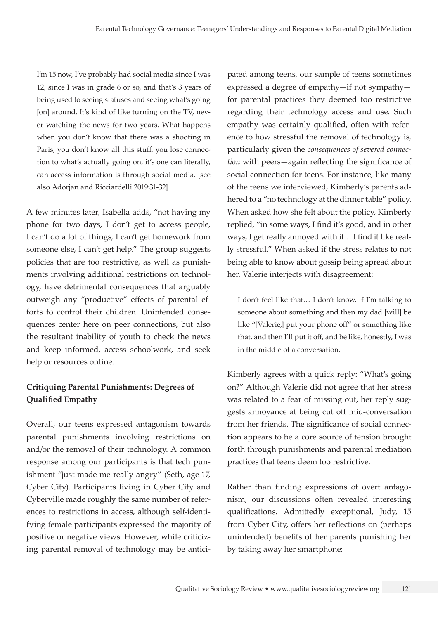I'm 15 now, I've probably had social media since I was 12, since I was in grade 6 or so, and that's 3 years of being used to seeing statuses and seeing what's going [on] around. It's kind of like turning on the TV, never watching the news for two years. What happens when you don't know that there was a shooting in Paris, you don't know all this stuff, you lose connection to what's actually going on, it's one can literally, can access information is through social media. [see also Adorjan and Ricciardelli 2019:31-32]

A few minutes later, Isabella adds, "not having my phone for two days, I don't get to access people, I can't do a lot of things, I can't get homework from someone else, I can't get help." The group suggests policies that are too restrictive, as well as punishments involving additional restrictions on technology, have detrimental consequences that arguably outweigh any "productive" effects of parental efforts to control their children. Unintended consequences center here on peer connections, but also the resultant inability of youth to check the news and keep informed, access schoolwork, and seek help or resources online.

## **Critiquing Parental Punishments: Degrees of Qualified Empathy**

Overall, our teens expressed antagonism towards parental punishments involving restrictions on and/or the removal of their technology. A common response among our participants is that tech punishment "just made me really angry" (Seth, age 17, Cyber City). Participants living in Cyber City and Cyberville made roughly the same number of references to restrictions in access, although self-identifying female participants expressed the majority of positive or negative views. However, while criticizing parental removal of technology may be anticipated among teens, our sample of teens sometimes expressed a degree of empathy—if not sympathy for parental practices they deemed too restrictive regarding their technology access and use. Such empathy was certainly qualified, often with reference to how stressful the removal of technology is, particularly given the *consequences of severed connection* with peers—again reflecting the significance of social connection for teens. For instance, like many of the teens we interviewed, Kimberly's parents adhered to a "no technology at the dinner table" policy. When asked how she felt about the policy, Kimberly replied, "in some ways, I find it's good, and in other ways, I get really annoyed with it… I find it like really stressful." When asked if the stress relates to not being able to know about gossip being spread about her, Valerie interjects with disagreement:

I don't feel like that… I don't know, if I'm talking to someone about something and then my dad [will] be like "[Valerie,] put your phone off" or something like that, and then I'll put it off, and be like, honestly, I was in the middle of a conversation.

Kimberly agrees with a quick reply: "What's going on?" Although Valerie did not agree that her stress was related to a fear of missing out, her reply suggests annoyance at being cut off mid-conversation from her friends. The significance of social connection appears to be a core source of tension brought forth through punishments and parental mediation practices that teens deem too restrictive.

Rather than finding expressions of overt antagonism, our discussions often revealed interesting qualifications. Admittedly exceptional, Judy, 15 from Cyber City, offers her reflections on (perhaps unintended) benefits of her parents punishing her by taking away her smartphone: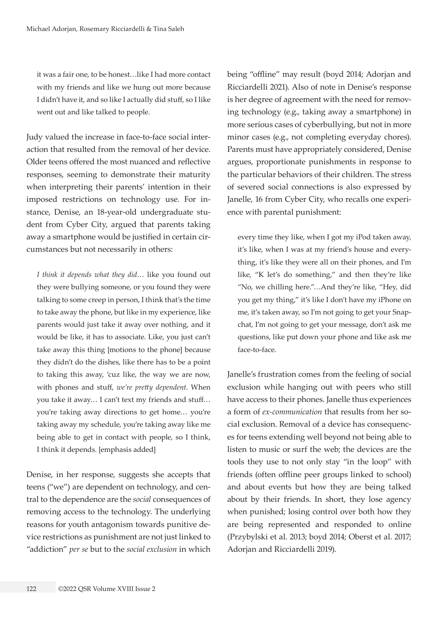it was a fair one, to be honest…like I had more contact with my friends and like we hung out more because I didn't have it, and so like I actually did stuff, so I like went out and like talked to people.

Judy valued the increase in face-to-face social interaction that resulted from the removal of her device. Older teens offered the most nuanced and reflective responses, seeming to demonstrate their maturity when interpreting their parents' intention in their imposed restrictions on technology use. For instance, Denise, an 18-year-old undergraduate student from Cyber City, argued that parents taking away a smartphone would be justified in certain circumstances but not necessarily in others:

*I think it depends what they did*… like you found out they were bullying someone, or you found they were talking to some creep in person, I think that's the time to take away the phone, but like in my experience, like parents would just take it away over nothing, and it would be like, it has to associate. Like, you just can't take away this thing [motions to the phone] because they didn't do the dishes, like there has to be a point to taking this away, 'cuz like, the way we are now, with phones and stuff, *we're pretty dependent*. When you take it away… I can't text my friends and stuff… you're taking away directions to get home… you're taking away my schedule, you're taking away like me being able to get in contact with people, so I think, I think it depends. [emphasis added]

Denise, in her response, suggests she accepts that teens ("we") are dependent on technology, and central to the dependence are the *social* consequences of removing access to the technology. The underlying reasons for youth antagonism towards punitive device restrictions as punishment are not just linked to "addiction" *per se* but to the *social exclusion* in which being "offline" may result (boyd 2014; Adorjan and Ricciardelli 2021). Also of note in Denise's response is her degree of agreement with the need for removing technology (e.g., taking away a smartphone) in more serious cases of cyberbullying, but not in more minor cases (e.g., not completing everyday chores). Parents must have appropriately considered, Denise argues, proportionate punishments in response to the particular behaviors of their children. The stress of severed social connections is also expressed by Janelle, 16 from Cyber City, who recalls one experience with parental punishment:

every time they like, when I got my iPod taken away, it's like, when I was at my friend's house and everything, it's like they were all on their phones, and I'm like, "K let's do something," and then they're like "No, we chilling here."…And they're like, "Hey, did you get my thing," it's like I don't have my iPhone on me, it's taken away, so I'm not going to get your Snapchat, I'm not going to get your message, don't ask me questions, like put down your phone and like ask me face-to-face.

Janelle's frustration comes from the feeling of social exclusion while hanging out with peers who still have access to their phones. Janelle thus experiences a form of *ex-communication* that results from her social exclusion. Removal of a device has consequences for teens extending well beyond not being able to listen to music or surf the web; the devices are the tools they use to not only stay "in the loop" with friends (often offline peer groups linked to school) and about events but how they are being talked about by their friends. In short, they lose agency when punished; losing control over both how they are being represented and responded to online (Przybylski et al. 2013; boyd 2014; Oberst et al. 2017; Adorjan and Ricciardelli 2019).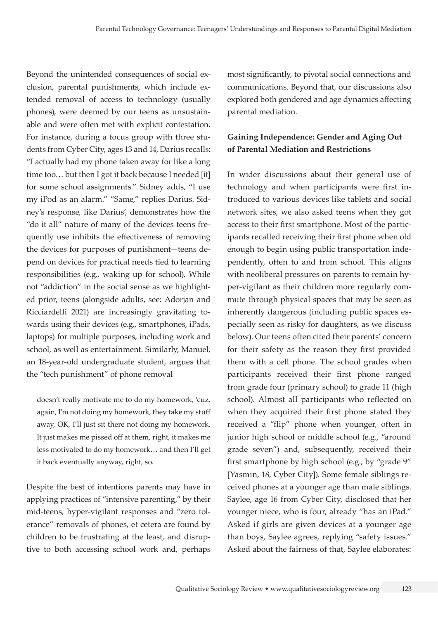Beyond the unintended consequences of social exclusion, parental punishments, which include extended removal of access to technology (usually phones), were deemed by our teens as unsustainable and were often met with explicit contestation. For instance, during a focus group with three students from Cyber City, ages 13 and 14, Darius recalls: "I actually had my phone taken away for like a long time too... but then I got it back because I needed [it] for some school assignments." Sidney adds, "I use my iPod as an alarm." "Same," replies Darius. Sidney's response, like Darius', demonstrates how the "do it all" nature of many of the devices teens frequently use inhibits the effectiveness of removing the devices for purposes of punishment—teens depend on devices for practical needs tied to learning responsibilities (e.g., waking up for school). While not "addiction" in the social sense as we highlighted prior, teens (alongside adults, see: Adorjan and Ricciardelli 2021) are increasingly gravitating towards using their devices (e.g., smartphones, iPads, laptops) for multiple purposes, including work and school, as well as entertainment. Similarly, Manuel, an 18-year-old undergraduate student, argues that the "tech punishment" of phone removal

doesn't really motivate me to do my homework, 'cuz, again, I'm not doing my homework, they take my stuff away, OK, I'll just sit there not doing my homework. It just makes me pissed off at them, right, it makes me less motivated to do my homework… and then I'll get it back eventually anyway, right, so.

Despite the best of intentions parents may have in applying practices of "intensive parenting," by their mid-teens, hyper-vigilant responses and "zero tolerance" removals of phones, et cetera are found by children to be frustrating at the least, and disruptive to both accessing school work and, perhaps most significantly, to pivotal social connections and communications. Beyond that, our discussions also explored both gendered and age dynamics affecting parental mediation.

## **Gaining Independence: Gender and Aging Out of Parental Mediation and Restrictions**

In wider discussions about their general use of technology and when participants were first introduced to various devices like tablets and social network sites, we also asked teens when they got access to their first smartphone. Most of the participants recalled receiving their first phone when old enough to begin using public transportation independently, often to and from school. This aligns with neoliberal pressures on parents to remain hyper-vigilant as their children more regularly commute through physical spaces that may be seen as inherently dangerous (including public spaces especially seen as risky for daughters, as we discuss below). Our teens often cited their parents' concern for their safety as the reason they first provided them with a cell phone. The school grades when participants received their first phone ranged from grade four (primary school) to grade 11 (high school). Almost all participants who reflected on when they acquired their first phone stated they received a "flip" phone when younger, often in junior high school or middle school (e.g., "around grade seven") and, subsequently, received their first smartphone by high school (e.g., by "grade 9" [Yasmin, 18, Cyber City]). Some female siblings received phones at a younger age than male siblings. Saylee, age 16 from Cyber City, disclosed that her younger niece, who is four, already "has an iPad." Asked if girls are given devices at a younger age than boys, Saylee agrees, replying "safety issues." Asked about the fairness of that, Saylee elaborates: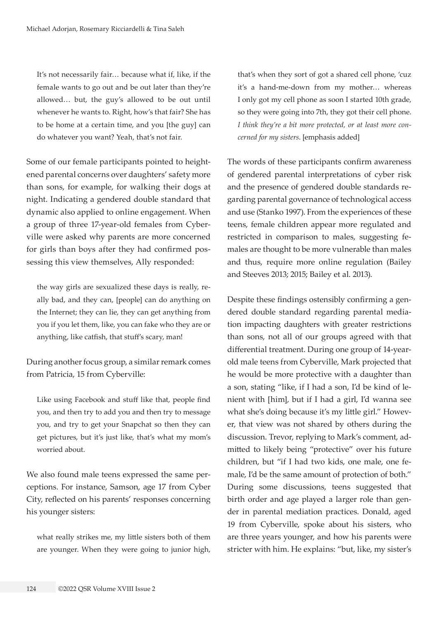It's not necessarily fair… because what if, like, if the female wants to go out and be out later than they're allowed… but, the guy's allowed to be out until whenever he wants to. Right, how's that fair? She has to be home at a certain time, and you [the guy] can do whatever you want? Yeah, that's not fair.

Some of our female participants pointed to heightened parental concerns over daughters' safety more than sons, for example, for walking their dogs at night. Indicating a gendered double standard that dynamic also applied to online engagement. When a group of three 17-year-old females from Cyberville were asked why parents are more concerned for girls than boys after they had confirmed possessing this view themselves, Ally responded:

the way girls are sexualized these days is really, really bad, and they can, [people] can do anything on the Internet; they can lie, they can get anything from you if you let them, like, you can fake who they are or anything, like catfish, that stuff's scary, man!

During another focus group, a similar remark comes from Patricia, 15 from Cyberville:

Like using Facebook and stuff like that, people find you, and then try to add you and then try to message you, and try to get your Snapchat so then they can get pictures, but it's just like, that's what my mom's worried about.

We also found male teens expressed the same perceptions. For instance, Samson, age 17 from Cyber City, reflected on his parents' responses concerning his younger sisters:

what really strikes me, my little sisters both of them are younger. When they were going to junior high, that's when they sort of got a shared cell phone, 'cuz it's a hand-me-down from my mother… whereas I only got my cell phone as soon I started 10th grade, so they were going into 7th, they got their cell phone. *I think they're a bit more protected, or at least more concerned for my sisters*. [emphasis added]

The words of these participants confirm awareness of gendered parental interpretations of cyber risk and the presence of gendered double standards regarding parental governance of technological access and use (Stanko 1997). From the experiences of these teens, female children appear more regulated and restricted in comparison to males, suggesting females are thought to be more vulnerable than males and thus, require more online regulation (Bailey and Steeves 2013; 2015; Bailey et al. 2013).

Despite these findings ostensibly confirming a gendered double standard regarding parental mediation impacting daughters with greater restrictions than sons, not all of our groups agreed with that differential treatment. During one group of 14-yearold male teens from Cyberville, Mark projected that he would be more protective with a daughter than a son, stating "like, if I had a son, I'd be kind of lenient with [him], but if I had a girl, I'd wanna see what she's doing because it's my little girl." However, that view was not shared by others during the discussion. Trevor, replying to Mark's comment, admitted to likely being "protective" over his future children, but "if I had two kids, one male, one female, I'd be the same amount of protection of both." During some discussions, teens suggested that birth order and age played a larger role than gender in parental mediation practices. Donald, aged 19 from Cyberville, spoke about his sisters, who are three years younger, and how his parents were stricter with him. He explains: "but, like, my sister's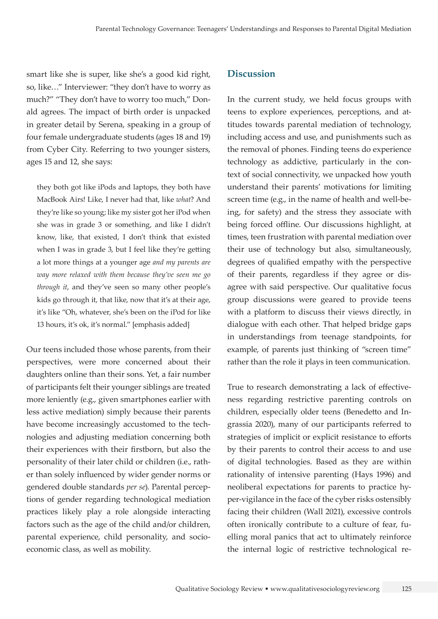smart like she is super, like she's a good kid right, so, like…" Interviewer: "they don't have to worry as much?" "They don't have to worry too much," Donald agrees. The impact of birth order is unpacked in greater detail by Serena, speaking in a group of four female undergraduate students (ages 18 and 19) from Cyber City. Referring to two younger sisters, ages 15 and 12, she says:

they both got like iPods and laptops, they both have MacBook Airs! Like, I never had that, like *what*? And they're like so young; like my sister got her iPod when she was in grade 3 or something, and like I didn't know, like, that existed, I don't think that existed when I was in grade 3, but I feel like they're getting a lot more things at a younger age *and my parents are way more relaxed with them because they've seen me go through it*, and they've seen so many other people's kids go through it, that like, now that it's at their age, it's like "Oh, whatever, she's been on the iPod for like 13 hours, it's ok, it's normal." [emphasis added]

Our teens included those whose parents, from their perspectives, were more concerned about their daughters online than their sons. Yet, a fair number of participants felt their younger siblings are treated more leniently (e.g., given smartphones earlier with less active mediation) simply because their parents have become increasingly accustomed to the technologies and adjusting mediation concerning both their experiences with their firstborn, but also the personality of their later child or children (i.e., rather than solely influenced by wider gender norms or gendered double standards *per se*). Parental perceptions of gender regarding technological mediation practices likely play a role alongside interacting factors such as the age of the child and/or children, parental experience, child personality, and socioeconomic class, as well as mobility.

## **Discussion**

In the current study, we held focus groups with teens to explore experiences, perceptions, and attitudes towards parental mediation of technology, including access and use, and punishments such as the removal of phones. Finding teens do experience technology as addictive, particularly in the context of social connectivity, we unpacked how youth understand their parents' motivations for limiting screen time (e.g., in the name of health and well-being, for safety) and the stress they associate with being forced offline. Our discussions highlight, at times, teen frustration with parental mediation over their use of technology but also, simultaneously, degrees of qualified empathy with the perspective of their parents, regardless if they agree or disagree with said perspective. Our qualitative focus group discussions were geared to provide teens with a platform to discuss their views directly, in dialogue with each other. That helped bridge gaps in understandings from teenage standpoints, for example, of parents just thinking of "screen time" rather than the role it plays in teen communication.

True to research demonstrating a lack of effectiveness regarding restrictive parenting controls on children, especially older teens (Benedetto and Ingrassia 2020), many of our participants referred to strategies of implicit or explicit resistance to efforts by their parents to control their access to and use of digital technologies. Based as they are within rationality of intensive parenting (Hays 1996) and neoliberal expectations for parents to practice hyper-vigilance in the face of the cyber risks ostensibly facing their children (Wall 2021), excessive controls often ironically contribute to a culture of fear, fuelling moral panics that act to ultimately reinforce the internal logic of restrictive technological re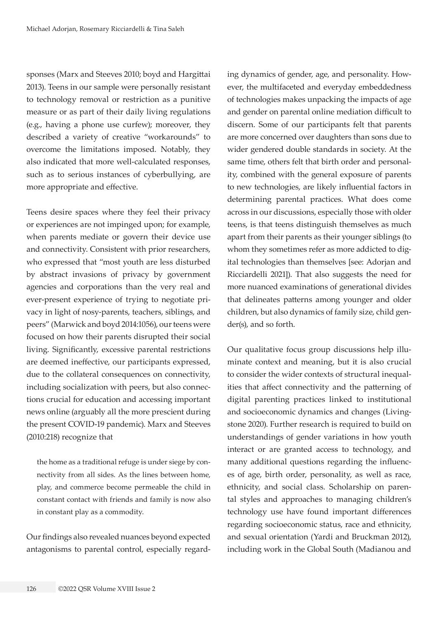sponses (Marx and Steeves 2010; boyd and Hargittai 2013). Teens in our sample were personally resistant to technology removal or restriction as a punitive measure or as part of their daily living regulations (e.g., having a phone use curfew); moreover, they described a variety of creative "workarounds" to overcome the limitations imposed. Notably, they also indicated that more well-calculated responses, such as to serious instances of cyberbullying, are more appropriate and effective.

Teens desire spaces where they feel their privacy or experiences are not impinged upon; for example, when parents mediate or govern their device use and connectivity. Consistent with prior researchers, who expressed that "most youth are less disturbed by abstract invasions of privacy by government agencies and corporations than the very real and ever-present experience of trying to negotiate privacy in light of nosy-parents, teachers, siblings, and peers" (Marwick and boyd 2014:1056), our teens were focused on how their parents disrupted their social living. Significantly, excessive parental restrictions are deemed ineffective, our participants expressed, due to the collateral consequences on connectivity, including socialization with peers, but also connections crucial for education and accessing important news online (arguably all the more prescient during the present COVID-19 pandemic). Marx and Steeves (2010:218) recognize that

the home as a traditional refuge is under siege by connectivity from all sides. As the lines between home, play, and commerce become permeable the child in constant contact with friends and family is now also in constant play as a commodity.

Our findings also revealed nuances beyond expected antagonisms to parental control, especially regarding dynamics of gender, age, and personality. However, the multifaceted and everyday embeddedness of technologies makes unpacking the impacts of age and gender on parental online mediation difficult to discern. Some of our participants felt that parents are more concerned over daughters than sons due to wider gendered double standards in society. At the same time, others felt that birth order and personality, combined with the general exposure of parents to new technologies, are likely influential factors in determining parental practices. What does come across in our discussions, especially those with older teens, is that teens distinguish themselves as much apart from their parents as their younger siblings (to whom they sometimes refer as more addicted to digital technologies than themselves [see: Adorjan and Ricciardelli 2021]). That also suggests the need for more nuanced examinations of generational divides that delineates patterns among younger and older children, but also dynamics of family size, child gender(s), and so forth.

Our qualitative focus group discussions help illuminate context and meaning, but it is also crucial to consider the wider contexts of structural inequalities that affect connectivity and the patterning of digital parenting practices linked to institutional and socioeconomic dynamics and changes (Livingstone 2020). Further research is required to build on understandings of gender variations in how youth interact or are granted access to technology, and many additional questions regarding the influences of age, birth order, personality, as well as race, ethnicity, and social class. Scholarship on parental styles and approaches to managing children's technology use have found important differences regarding socioeconomic status, race and ethnicity, and sexual orientation (Yardi and Bruckman 2012), including work in the Global South (Madianou and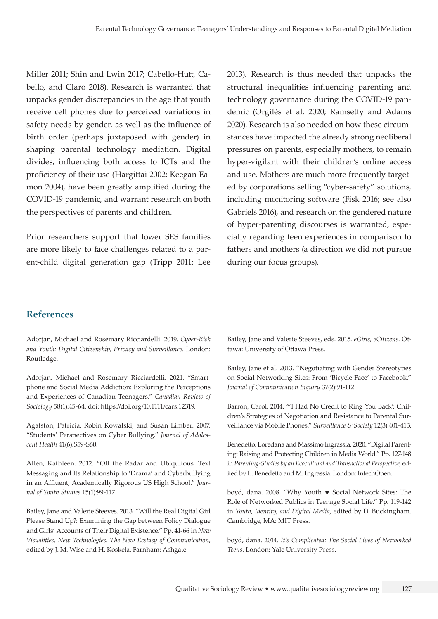Miller 2011; Shin and Lwin 2017; Cabello-Hutt, Cabello, and Claro 2018). Research is warranted that unpacks gender discrepancies in the age that youth receive cell phones due to perceived variations in safety needs by gender, as well as the influence of birth order (perhaps juxtaposed with gender) in shaping parental technology mediation. Digital divides, influencing both access to ICTs and the proficiency of their use (Hargittai 2002; Keegan Eamon 2004), have been greatly amplified during the COVID-19 pandemic, and warrant research on both the perspectives of parents and children.

Prior researchers support that lower SES families are more likely to face challenges related to a parent-child digital generation gap (Tripp 2011; Lee 2013). Research is thus needed that unpacks the structural inequalities influencing parenting and technology governance during the COVID-19 pandemic (Orgilés et al. 2020; Ramsetty and Adams 2020). Research is also needed on how these circumstances have impacted the already strong neoliberal pressures on parents, especially mothers, to remain hyper-vigilant with their children's online access and use. Mothers are much more frequently targeted by corporations selling "cyber-safety" solutions, including monitoring software (Fisk 2016; see also Gabriels 2016), and research on the gendered nature of hyper-parenting discourses is warranted, especially regarding teen experiences in comparison to fathers and mothers (a direction we did not pursue during our focus groups).

### **References**

Adorjan, Michael and Rosemary Ricciardelli. 2019. *Cyber-Risk and Youth: Digital Citizenship, Privacy and Surveillance*. London: Routledge.

Adorjan, Michael and Rosemary Ricciardelli. 2021. "Smartphone and Social Media Addiction: Exploring the Perceptions and Experiences of Canadian Teenagers." *Canadian Review of Sociology* 58(1):45-64. doi:<https://doi.org/10.1111/cars.12319>.

Agatston, Patricia, Robin Kowalski, and Susan Limber. 2007. "Students' Perspectives on Cyber Bullying." *Journal of Adolescent Health* 41(6):S59-S60.

Allen, Kathleen. 2012. "Off the Radar and Ubiquitous: Text Messaging and Its Relationship to 'Drama' and Cyberbullying in an Affluent, Academically Rigorous US High School." *Journal of Youth Studies* 15(1):99-117.

Bailey, Jane and Valerie Steeves. 2013. "Will the Real Digital Girl Please Stand Up?: Examining the Gap between Policy Dialogue and Girls' Accounts of Their Digital Existence." Pp. 41-66 in *New Visualities, New Technologies: The New Ecstasy of Communication*, edited by J. M. Wise and H. Koskela. Farnham: Ashgate.

Bailey, Jane and Valerie Steeves, eds. 2015. *eGirls, eCitizens*. Ottawa: University of Ottawa Press.

Bailey, Jane et al. 2013. "Negotiating with Gender Stereotypes on Social Networking Sites: From 'Bicycle Face' to Facebook." *Journal of Communication Inquiry* 37(2):91-112.

Barron, Carol. 2014. "'I Had No Credit to Ring You Back': Children's Strategies of Negotiation and Resistance to Parental Surveillance via Mobile Phones." *Surveillance & Society* 12(3):401-413.

Benedetto, Loredana and Massimo Ingrassia. 2020. "Digital Parenting: Raising and Protecting Children in Media World." Pp. 127-148 in *Parenting-Studies by an Ecocultural and Transactional Perspective*, edited by L. Benedetto and M. Ingrassia. London: IntechOpen.

boyd, dana. 2008. "Why Youth ♥ Social Network Sites: The Role of Networked Publics in Teenage Social Life." Pp. 119-142 in *Youth, Identity, and Digital Media*, edited by D. Buckingham. Cambridge, MA: MIT Press.

boyd, dana. 2014. *It's Complicated: The Social Lives of Networked Teens*. London: Yale University Press.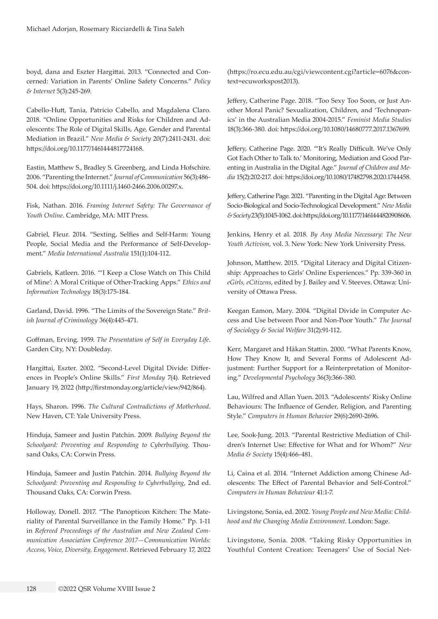boyd, dana and Eszter Hargittai. 2013. "Connected and Concerned: Variation in Parents' Online Safety Concerns." *Policy & Internet* 5(3):245-269.

Cabello-Hutt, Tania, Patricio Cabello, and Magdalena Claro. 2018. "Online Opportunities and Risks for Children and Adolescents: The Role of Digital Skills, Age, Gender and Parental Mediation in Brazil." *New Media & Society* 20(7):2411-2431. doi: <https://doi.org/10.1177/1461444817724168>.

Eastin, Matthew S., Bradley S. Greenberg, and Linda Hofschire. 2006. "Parenting the Internet." *Journal of Communication* 56(3):486- 504. doi: <https://doi.org/10.1111/j.1460-2466.2006.00297.x>.

Fisk, Nathan. 2016. *Framing Internet Safety: The Governance of Youth Online*. Cambridge, MA: MIT Press.

Gabriel, Fleur. 2014. "Sexting, Selfies and Self-Harm: Young People, Social Media and the Performance of Self-Development." *Media International Australia* 151(1):104-112.

Gabriels, Katleen. 2016. "'I Keep a Close Watch on This Child of Mine': A Moral Critique of Other-Tracking Apps." *Ethics and Information Technology* 18(3):175-184.

Garland, David. 1996. "The Limits of the Sovereign State." *British Journal of Criminology* 36(4):445-471.

Goffman, Erving. 1959. *The Presentation of Self in Everyday Life*. Garden City, NY: Doubleday.

Hargittai, Eszter. 2002. "Second-Level Digital Divide: Differences in People's Online Skills." *First Monday* 7(4). Retrieved January 19, 2022 (<http://firstmonday.org/article/view/942/864>).

Hays, Sharon. 1996. *The Cultural Contradictions of Motherhood*. New Haven, CT: Yale University Press.

Hinduja, Sameer and Justin Patchin. 2009. *Bullying Beyond the Schoolyard: Preventing and Responding to Cyberbullying*. Thousand Oaks, CA: Corwin Press.

Hinduja, Sameer and Justin Patchin. 2014. *Bullying Beyond the Schoolyard: Preventing and Responding to Cyberbullying*, 2nd ed. Thousand Oaks, CA: Corwin Press.

Holloway, Donell. 2017. "The Panopticon Kitchen: The Materiality of Parental Surveillance in the Family Home." Pp. 1-11 in *Refereed Proceedings of the Australian and New Zealand Communication Association Conference 2017—Communication Worlds: Access, Voice, Diversity, Engagement*. Retrieved February 17, 2022 ([https://ro.ecu.edu.au/cgi/viewcontent.cgi?article=6076&con](https://ro.ecu.edu.au/cgi/viewcontent.cgi?article=6076&context=ecuworkspost2013)[text=ecuworkspost2013](https://ro.ecu.edu.au/cgi/viewcontent.cgi?article=6076&context=ecuworkspost2013)).

Jeffery, Catherine Page. 2018. "Too Sexy Too Soon, or Just Another Moral Panic? Sexualization, Children, and 'Technopanics' in the Australian Media 2004-2015." *Feminist Media Studies*  18(3):366-380. doi:<https://doi.org/10.1080/14680777.2017.1367699>.

Jeffery, Catherine Page. 2020. "'It's Really Difficult. We've Only Got Each Other to Talk to.' Monitoring, Mediation and Good Parenting in Australia in the Digital Age." *Journal of Children and Media* 15(2):202-217. doi: <https://doi.org/10.1080/17482798.2020.1744458>.

Jeffery, Catherine Page. 2021. "Parenting in the Digital Age: Between Socio-Biological and Socio-Technological Development." *New Media & Society* 23(5):1045-1062. doi: <https://doi.org/10.1177/1461444820908606>.

Jenkins, Henry et al. 2018. *By Any Media Necessary: The New Youth Activism*, vol. 3. New York: New York University Press.

Johnson, Matthew. 2015. "Digital Literacy and Digital Citizenship: Approaches to Girls' Online Experiences." Pp. 339-360 in *eGirls, eCitizens*, edited by J. Bailey and V. Steeves. Ottawa: University of Ottawa Press.

Keegan Eamon, Mary. 2004. "Digital Divide in Computer Access and Use between Poor and Non-Poor Youth." *The Journal of Sociology & Social Welfare* 31(2):91-112.

Kerr, Margaret and Håkan Stattin. 2000. "What Parents Know, How They Know It, and Several Forms of Adolescent Adjustment: Further Support for a Reinterpretation of Monitoring." *Developmental Psychology* 36(3):366-380.

Lau, Wilfred and Allan Yuen. 2013. "Adolescents' Risky Online Behaviours: The Influence of Gender, Religion, and Parenting Style." *Computers in Human Behavior* 29(6):2690-2696.

Lee, Sook-Jung. 2013. "Parental Restrictive Mediation of Children's Internet Use: Effective for What and for Whom?" *New Media & Society* 15(4):466-481.

Li, Caina et al. 2014. "Internet Addiction among Chinese Adolescents: The Effect of Parental Behavior and Self-Control." *Computers in Human Behaviour* 41:1-7.

Livingstone, Sonia, ed. 2002. *Young People and New Media: Childhood and the Changing Media Environment*. London: Sage.

Livingstone, Sonia. 2008. "Taking Risky Opportunities in Youthful Content Creation: Teenagers' Use of Social Net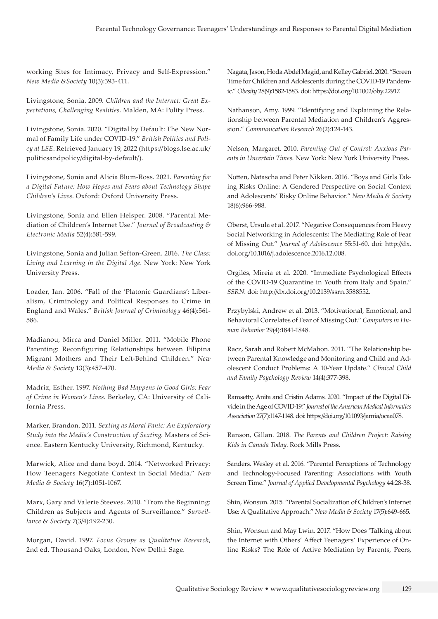working Sites for Intimacy, Privacy and Self-Expression." *New Media &Society* 10(3):393-411.

Livingstone, Sonia. 2009. *Children and the Internet: Great Expectations, Challenging Realities*. Malden, MA: Polity Press.

Livingstone, Sonia. 2020. "Digital by Default: The New Normal of Family Life under COVID-19." *British Politics and Policy at LSE*. Retrieved January 19, 2022 ([https://blogs.lse.ac.uk/](https://blogs.lse.ac.uk/politicsandpolicy/digital-by-default/) [politicsandpolicy/digital-by-default/](https://blogs.lse.ac.uk/politicsandpolicy/digital-by-default/)).

Livingstone, Sonia and Alicia Blum-Ross. 2021. *Parenting for a Digital Future: How Hopes and Fears about Technology Shape Children's Lives*. Oxford: Oxford University Press.

Livingstone, Sonia and Ellen Helsper. 2008. "Parental Mediation of Children's Internet Use." *Journal of Broadcasting & Electronic Media* 52(4):581-599.

Livingstone, Sonia and Julian Sefton-Green. 2016. *The Class: Living and Learning in the Digital Age*. New York: New York University Press.

Loader, Ian. 2006. "Fall of the 'Platonic Guardians': Liberalism, Criminology and Political Responses to Crime in England and Wales." *British Journal of Criminology* 46(4):561- 586.

Madianou, Mirca and Daniel Miller. 2011. "Mobile Phone Parenting: Reconfiguring Relationships between Filipina Migrant Mothers and Their Left-Behind Children." *New Media & Society* 13(3):457-470.

Madriz, Esther. 1997. *Nothing Bad Happens to Good Girls: Fear of Crime in Women's Lives*. Berkeley, CA: University of California Press.

Marker, Brandon. 2011. *Sexting as Moral Panic: An Exploratory Study into the Media's Construction of Sexting*. Masters of Science. Eastern Kentucky University, Richmond, Kentucky.

Marwick, Alice and dana boyd. 2014. "Networked Privacy: How Teenagers Negotiate Context in Social Media." *New Media & Society* 16(7):1051-1067.

Marx, Gary and Valerie Steeves. 2010. "From the Beginning: Children as Subjects and Agents of Surveillance." *Surveillance & Society* 7(3/4):192-230.

Morgan, David. 1997. *Focus Groups as Qualitative Research*, 2nd ed. Thousand Oaks, London, New Delhi: Sage.

Nagata, Jason, Hoda Abdel Magid, and Kelley Gabriel. 2020. "Screen Time for Children and Adolescents during the COVID-19 Pandemic." *Obesity* 28(9):1582-1583. doi:<https://doi.org/10.1002/oby.22917>.

Nathanson, Amy. 1999. "Identifying and Explaining the Relationship between Parental Mediation and Children's Aggression." *Communication Research* 26(2):124-143.

Nelson, Margaret. 2010. *Parenting Out of Control: Anxious Parents in Uncertain Times*. New York: New York University Press.

Notten, Natascha and Peter Nikken. 2016. "Boys and Girls Taking Risks Online: A Gendered Perspective on Social Context and Adolescents' Risky Online Behavior." *New Media & Society*  18(6):966-988.

Oberst, Ursula et al. 2017. "Negative Consequences from Heavy Social Networking in Adolescents: The Mediating Role of Fear of Missing Out." *Journal of Adolescence* 55:51-60. doi: [http://dx.](http://dx.doi.org/10.1016/j.adolescence.2016.12.008) [doi.org/10.1016/j.adolescence.2016.12.008](http://dx.doi.org/10.1016/j.adolescence.2016.12.008).

Orgilés, Mireia et al. 2020. "Immediate Psychological Effects of the COVID-19 Quarantine in Youth from Italy and Spain." *SSRN*. doi: [http://dx.doi.org/10.2139/ssrn.3588552](http://dx.doi.org/10.2139/ssrn.3588552 ).

Przybylski, Andrew et al. 2013. "Motivational, Emotional, and Behavioral Correlates of Fear of Missing Out." *Computers in Human Behavior* 29(4):1841-1848.

Racz, Sarah and Robert McMahon. 2011. "The Relationship between Parental Knowledge and Monitoring and Child and Adolescent Conduct Problems: A 10-Year Update." *Clinical Child and Family Psychology Review* 14(4):377-398.

Ramsetty, Anita and Cristin Adams. 2020. "Impact of the Digital Divide in the Age of COVID-19." *Journal of the American Medical Informatics Association* 27(7):1147-1148. doi:<https://doi.org/10.1093/jamia/ocaa078>.

Ranson, Gillan. 2018. *The Parents and Children Project: Raising Kids in Canada Today*. Rock Mills Press.

Sanders, Wesley et al. 2016. "Parental Perceptions of Technology and Technology-Focused Parenting: Associations with Youth Screen Time." *Journal of Applied Developmental Psychology* 44:28-38.

Shin, Wonsun. 2015. "Parental Socialization of Children's Internet Use: A Qualitative Approach." *New Media & Society* 17(5):649-665.

Shin, Wonsun and May Lwin. 2017. "How Does 'Talking about the Internet with Others' Affect Teenagers' Experience of Online Risks? The Role of Active Mediation by Parents, Peers,